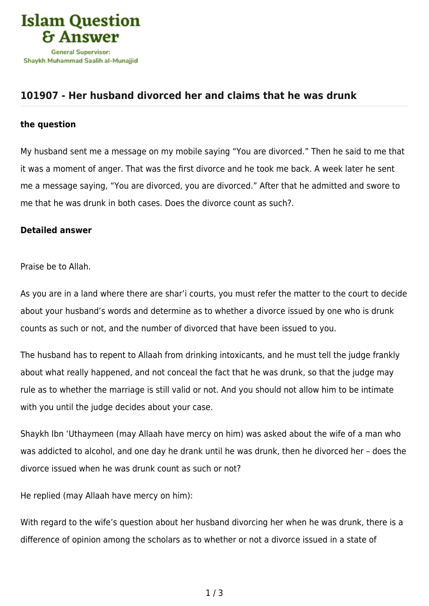

## **[101907 - Her husband divorced her and claims that he was drunk](https://islamqa.com/en/answers/101907/her-husband-divorced-her-and-claims-that-he-was-drunk)**

## **the question**

My husband sent me a message on my mobile saying "You are divorced." Then he said to me that it was a moment of anger. That was the first divorce and he took me back. A week later he sent me a message saying, "You are divorced, you are divorced." After that he admitted and swore to me that he was drunk in both cases. Does the divorce count as such?.

## **Detailed answer**

Praise be to Allah.

As you are in a land where there are shar'i courts, you must refer the matter to the court to decide about your husband's words and determine as to whether a divorce issued by one who is drunk counts as such or not, and the number of divorced that have been issued to you.

The husband has to repent to Allaah from drinking intoxicants, and he must tell the judge frankly about what really happened, and not conceal the fact that he was drunk, so that the judge may rule as to whether the marriage is still valid or not. And you should not allow him to be intimate with you until the judge decides about your case.

Shaykh Ibn 'Uthaymeen (may Allaah have mercy on him) was asked about the wife of a man who was addicted to alcohol, and one day he drank until he was drunk, then he divorced her – does the divorce issued when he was drunk count as such or not?

He replied (may Allaah have mercy on him):

With regard to the wife's question about her husband divorcing her when he was drunk, there is a difference of opinion among the scholars as to whether or not a divorce issued in a state of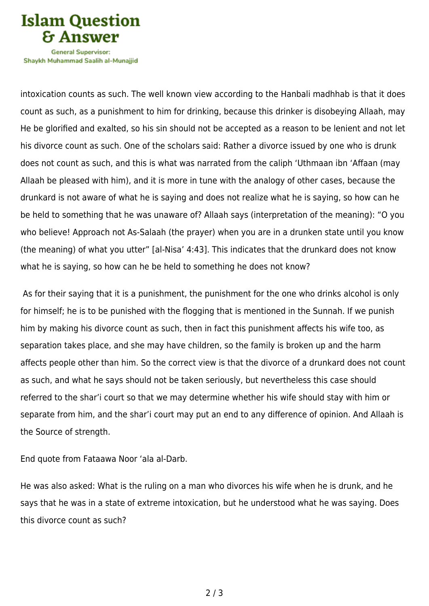

Shavkh Muhammad Saalih al-Munaiiid

intoxication counts as such. The well known view according to the Hanbali madhhab is that it does count as such, as a punishment to him for drinking, because this drinker is disobeying Allaah, may He be glorified and exalted, so his sin should not be accepted as a reason to be lenient and not let his divorce count as such. One of the scholars said: Rather a divorce issued by one who is drunk does not count as such, and this is what was narrated from the caliph 'Uthmaan ibn 'Affaan (may Allaah be pleased with him), and it is more in tune with the analogy of other cases, because the drunkard is not aware of what he is saying and does not realize what he is saying, so how can he be held to something that he was unaware of? Allaah says (interpretation of the meaning): "O you who believe! Approach not As-Salaah (the prayer) when you are in a drunken state until you know (the meaning) of what you utter" [al-Nisa' 4:43]. This indicates that the drunkard does not know what he is saying, so how can he be held to something he does not know?

 As for their saying that it is a punishment, the punishment for the one who drinks alcohol is only for himself; he is to be punished with the flogging that is mentioned in the Sunnah. If we punish him by making his divorce count as such, then in fact this punishment affects his wife too, as separation takes place, and she may have children, so the family is broken up and the harm affects people other than him. So the correct view is that the divorce of a drunkard does not count as such, and what he says should not be taken seriously, but nevertheless this case should referred to the shar'i court so that we may determine whether his wife should stay with him or separate from him, and the shar'i court may put an end to any difference of opinion. And Allaah is the Source of strength.

End quote from Fataawa Noor 'ala al-Darb.

He was also asked: What is the ruling on a man who divorces his wife when he is drunk, and he says that he was in a state of extreme intoxication, but he understood what he was saying. Does this divorce count as such?